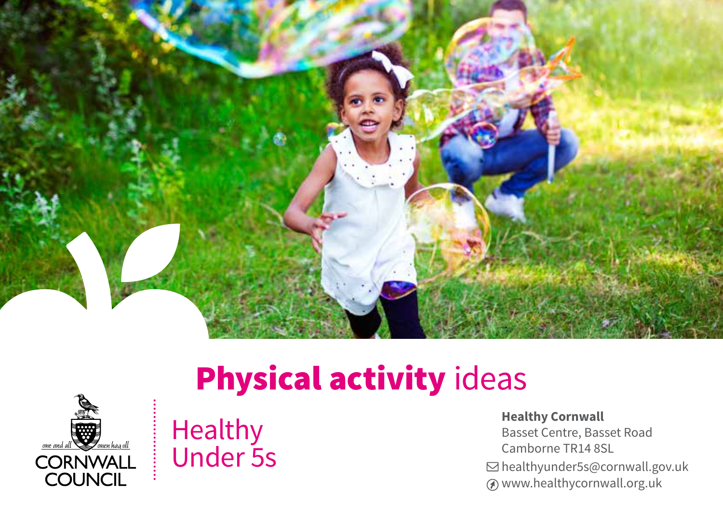



## **Physical activity ideas**

Healthy Under 5s

**Healthy Cornwall** Basset Centre, Basset Road Camborne TR14 8SL healthyunder5s@cornwall.gov.uk www.healthycornwall.org.uk